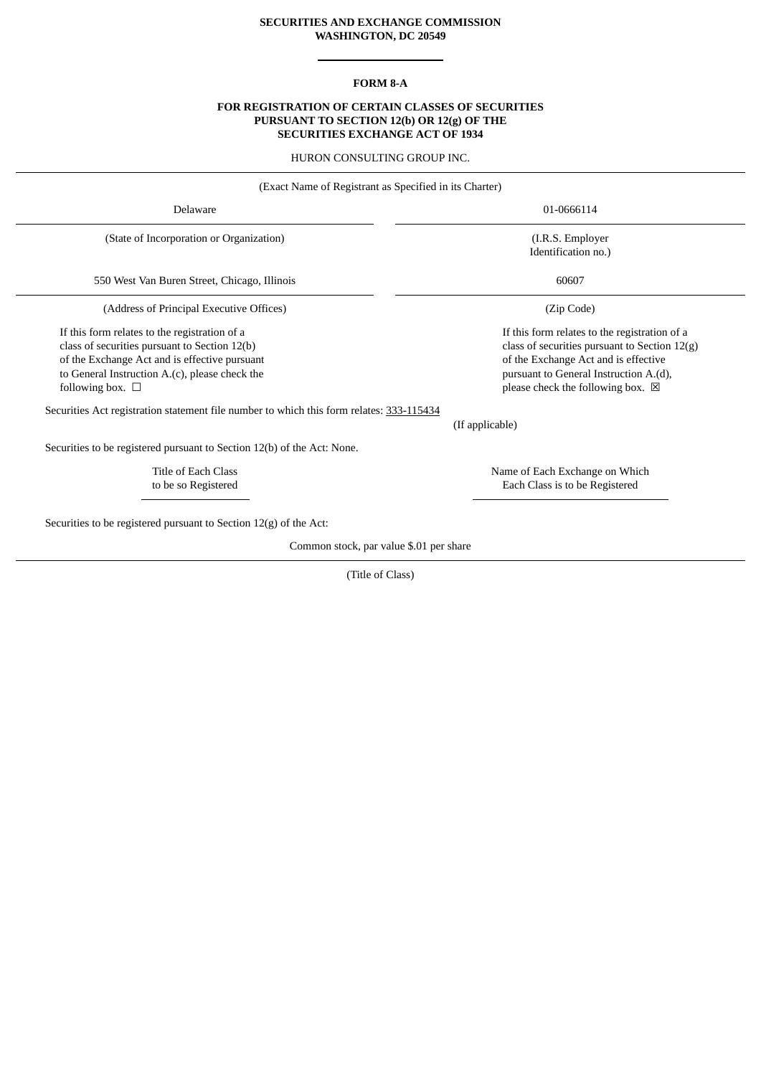## **SECURITIES AND EXCHANGE COMMISSION WASHINGTON, DC 20549**

## **FORM 8-A**

### **FOR REGISTRATION OF CERTAIN CLASSES OF SECURITIES PURSUANT TO SECTION 12(b) OR 12(g) OF THE SECURITIES EXCHANGE ACT OF 1934**

HURON CONSULTING GROUP INC.

| (Exact Name of Registrant as Specified in its Charter)                                                                                                                                                                        |                                                                                                                                                                                                                                 |  |
|-------------------------------------------------------------------------------------------------------------------------------------------------------------------------------------------------------------------------------|---------------------------------------------------------------------------------------------------------------------------------------------------------------------------------------------------------------------------------|--|
| Delaware                                                                                                                                                                                                                      | 01-0666114                                                                                                                                                                                                                      |  |
| (State of Incorporation or Organization)                                                                                                                                                                                      | (I.R.S. Employer<br>Identification no.)                                                                                                                                                                                         |  |
| 550 West Van Buren Street, Chicago, Illinois                                                                                                                                                                                  | 60607                                                                                                                                                                                                                           |  |
| (Address of Principal Executive Offices)                                                                                                                                                                                      | (Zip Code)                                                                                                                                                                                                                      |  |
| If this form relates to the registration of a<br>class of securities pursuant to Section 12(b)<br>of the Exchange Act and is effective pursuant<br>to General Instruction A.(c), please check the<br>following box. $\square$ | If this form relates to the registration of a<br>class of securities pursuant to Section 12(g)<br>of the Exchange Act and is effective<br>pursuant to General Instruction A.(d),<br>please check the following box. $\boxtimes$ |  |
| Securities Act registration statement file number to which this form relates: 333-115434                                                                                                                                      | (If applicable)                                                                                                                                                                                                                 |  |
| Securities to be registered pursuant to Section 12(b) of the Act: None.                                                                                                                                                       |                                                                                                                                                                                                                                 |  |
| Title of Each Class<br>to be so Registered                                                                                                                                                                                    | Name of Each Exchange on Which<br>Each Class is to be Registered                                                                                                                                                                |  |
| Securities to be registered pursuant to Section $12(g)$ of the Act:                                                                                                                                                           |                                                                                                                                                                                                                                 |  |
| Common stock, par value \$.01 per share                                                                                                                                                                                       |                                                                                                                                                                                                                                 |  |

(Title of Class)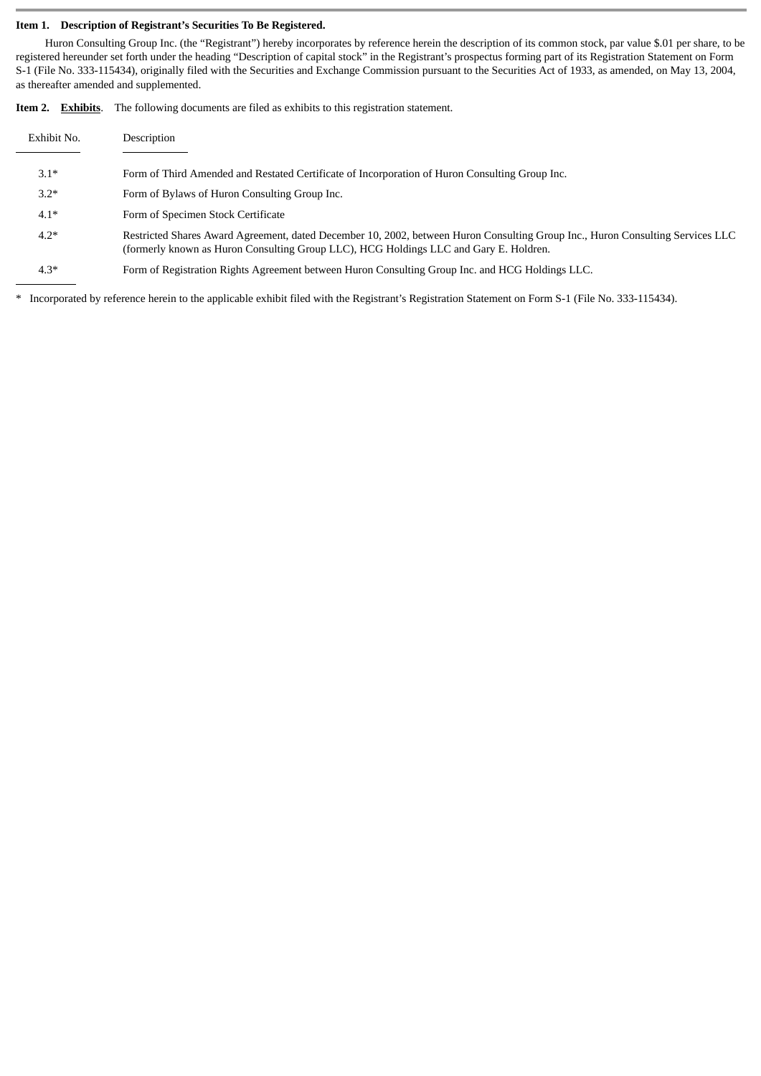#### **Item 1. Description of Registrant's Securities To Be Registered.**

Huron Consulting Group Inc. (the "Registrant") hereby incorporates by reference herein the description of its common stock, par value \$.01 per share, to be registered hereunder set forth under the heading "Description of capital stock" in the Registrant's prospectus forming part of its Registration Statement on Form S-1 (File No. 333-115434), originally filed with the Securities and Exchange Commission pursuant to the Securities Act of 1933, as amended, on May 13, 2004, as thereafter amended and supplemented.

|  | <b>Item 2.</b> Exhibits. The following documents are filed as exhibits to this registration statement. |
|--|--------------------------------------------------------------------------------------------------------|
|  |                                                                                                        |

| Exhibit No. | Description                                                                                                                                                                                                             |
|-------------|-------------------------------------------------------------------------------------------------------------------------------------------------------------------------------------------------------------------------|
|             |                                                                                                                                                                                                                         |
| $3.1*$      | Form of Third Amended and Restated Certificate of Incorporation of Huron Consulting Group Inc.                                                                                                                          |
| $3.2*$      | Form of Bylaws of Huron Consulting Group Inc.                                                                                                                                                                           |
| $4.1*$      | Form of Specimen Stock Certificate                                                                                                                                                                                      |
| $4.2*$      | Restricted Shares Award Agreement, dated December 10, 2002, between Huron Consulting Group Inc., Huron Consulting Services LLC<br>(formerly known as Huron Consulting Group LLC), HCG Holdings LLC and Gary E. Holdren. |
| $4.3*$      | Form of Registration Rights Agreement between Huron Consulting Group Inc. and HCG Holdings LLC.                                                                                                                         |

\* Incorporated by reference herein to the applicable exhibit filed with the Registrant's Registration Statement on Form S-1 (File No. 333-115434).